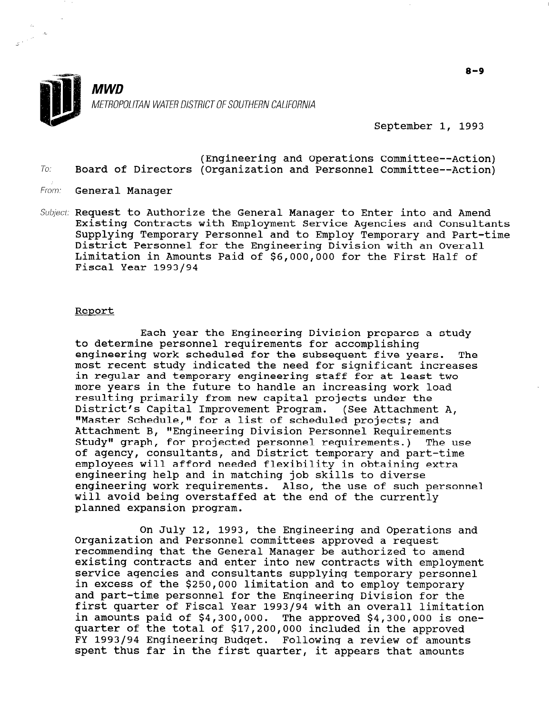

 $\sim$ 

MWD METROPOLITAN WATER DISTRICT OF SOUTHERN CALIFORNIA

September 1, 1993

- (Engineering and Operations Committee--Action) To: Board of Directors (Organization and Personnel Committee--Action)
- From: **General Manager**
- Subject: Request to Authorize the General Manager to Enter into and Amend Existing Contracts with Employment Service Agencies and Consultants Supplying Temporary Personnel and to Employ Temporary and Part-time District Personnel for the Engineering Division with an Overall Limitation in Amounts Paid of \$6,000,000 for the First Half of Fiscal Year 1993/94

#### Report

Each year the Engineering Division prepares a study to determine personnel requirements for accomplishing engineering work scheduled for the subsequent five years. The most recent study indicated the need for significant increases in regular and temporary engineering staff for at least two more years in the future to handle an increasing work load resulting primarily from new capital projects under the District's Capital Improvement Program. (See Attachment A, "Master Schedule," for a list of scheduled projects; and Attachment B, "Engineering Division Personnel Requirements Accuemment b, ingineering bivision refsonnel Requirements.<br>Study" graph, for projected personnel requirements.) The use otauy graph, for projected personner requirements.) The<br>of agency, consultants, and District temporary and part-time of agency, consultants, and District temporary and part-time<br>employees will afford needed flexibility in obtaining extra engineering help and in matching job skills to diverse engineering work requirements. Also, the use of such personnel will avoid being overstaffed at the end of the currently planned expansion program.

On July 12, 1993, the Engineering and Operations and On oury iz, 1995, the mighteering and Operat.<br>Organization and Personnel committees approved a request recommending that the General Manager be authorized to amend recommending that the General Manager be authorized to amend existing contracts and enter into new contracts with employment service agencies and consultants supplying temporary personnel in excess of the \$250,000 limitation and to employ temporary and part-time personnel for the Engineering Division for the<br>first quarter of Fiscal Year 1993/94 with an overall limitation in amounts paid of \$4,300,000. The approved \$4,300,000 is one-In amounts paid of  $\frac{1}{2}4,300,000$ . The approved  $\frac{1}{2}4,300,000$  is FY 1993/94 Engineering Budget. Following a review of amounts FY 1993/94 Engineering Budget. Following a review of amounts<br>spent thus far in the first quarter, it appears that amounts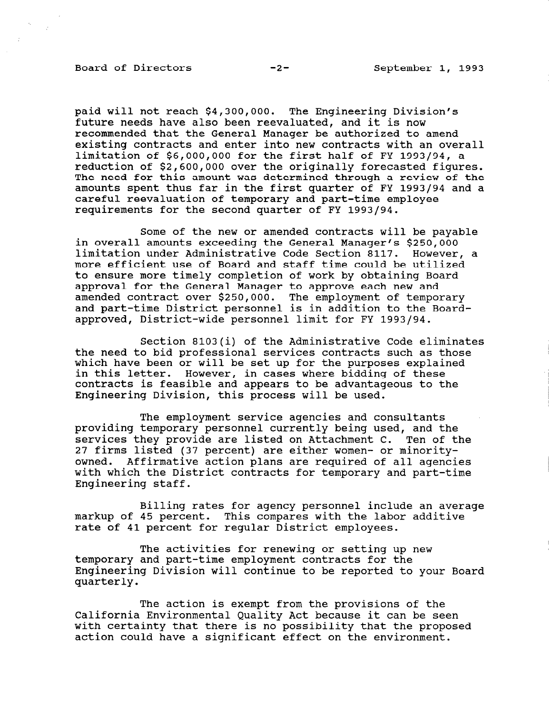## Board of Directors -2- September 1, 1993

paid will not reach \$4,300,000. The Engineering Division's future needs have also been reevaluated, and it is now recommended that the General Manager be authorized to amend existing contracts and enter into new contracts with an overall limitation of \$6,000,000 for the first half of FY 1993/94, a reduction of \$2,600,000 over the originally forecasted figures. The need for this amount was determined through a review of the amounts spent thus far in the first quarter of FY 1993/94 and a careful reevaluation of temporary and part-time employee requirements for the second quarter of FY 1993/94.

Some of the new or amended contracts will be payable in overall amounts exceeding the General Manager's \$250,000 limitation under Administrative Code Section 8117. However, a more efficient use of Board and staff time could be utilized to ensure more timely completion of work by obtaining Board approval for the General Manager to approve each new and amended contract over \$250,000. The employment of temporary and part-time District personnel is in addition to the Boardapproved, District-wide personnel limit for FY 1993/94.

Section 8103(i) of the Administrative Code eliminates the need to bid professional services contracts such as those which have been or will be set up for the purposes explained in this letter. However, in cases where bidding of these contracts is feasible and appears to be advantageous to the Engineering Division, this process will be used.

The employment service agencies and consultants providing temporary personnel currently being used, and the services they provide are listed on Attachment C. Ten of the 27 firms listed (37 percent) are either women- or minorityowned. Affirmative action plans are required of all agencies with which the District contracts for temporary and part-time Engineering staff.

Billing rates for agency personnel include an average markup of 45 percent. This compares with the labor additive rate of 41 percent for regular District employees.

The activities for renewing or setting up new temporary and part-time employment contracts for the Engineering Division will continue to be reported to your Board puginee<br>Cuarter

The action is exempt from the provisions of the INE ACCION IS EXEMPLATION CHE PROVISIONS OF CHE with certainty that there is no possibility that the proposed with certainty that there is no possibility that the proposed action could have a significant effect on the environment.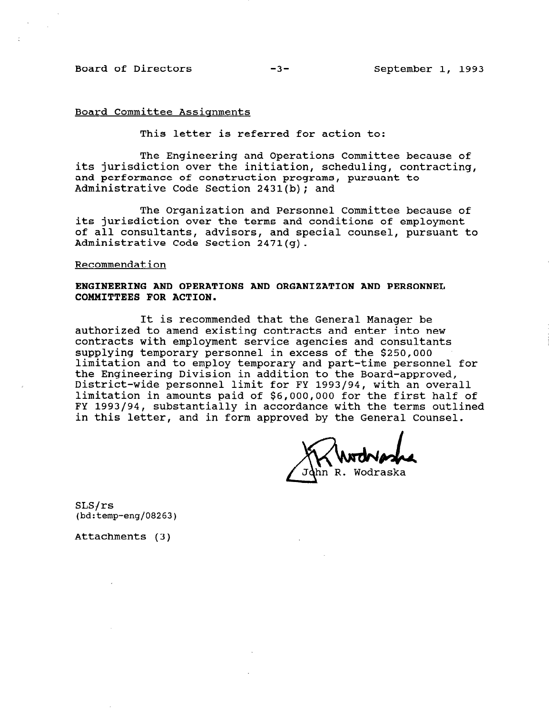Board of Directors -3- September 1, 1993

#### Board Committee Assignments

This letter is referred for action to:

The Engineering and Operations Committee because of its jurisdiction over the initiation, scheduling, contracting, and performance of construction programs, pursuant to Administrative Code Section 2431(b); and

The Organization and Personnel Committee because of its jurisdiction over the terms and conditions of employment of all consultants, advisors, and special counsel, pursuant to Administrative Code Section 2471(g).

### Recommendation

# ENGINEERING AND OPERATIONS AND ORGANIZATION AND PERSONNEL COMMITTEES FOR ACTION.

It is recommended that the General Manager be authorized to amend existing contracts and enter into new contracts with employment service agencies and consultants supplying temporary personnel in excess of the \$250,000 limitation and to employ temporary and part-time personnel for the Engineering Division in addition to the Board-approved, one ingineering bivibion in dudicion co ene bourd approved,<br>District-wide personnel limit for FV 1993/94, with an overa limitation in amounts paid of \$6,000,000 for the first half of FY 1993/94, substantially in accordance with the terms outlined in this letter, and in form approved by the General Counsel.

 $FA$  $J_{\text{hm}}$  P. Wodrask

SLS/rs (bd:temp-eng/08263)

Attachments (3)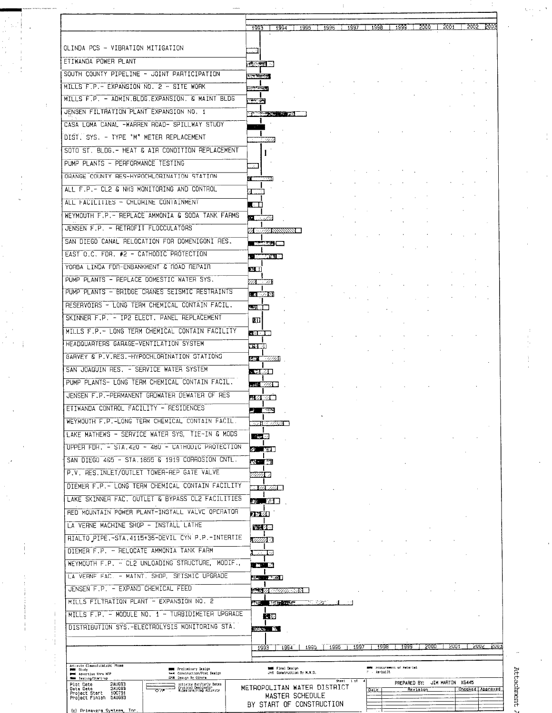|                                                                                                                                                               |                                                               |                          |           |              |                                    | 1999   2000 |                               | 2001 2002 2003 |                  |
|---------------------------------------------------------------------------------------------------------------------------------------------------------------|---------------------------------------------------------------|--------------------------|-----------|--------------|------------------------------------|-------------|-------------------------------|----------------|------------------|
|                                                                                                                                                               | $1993$ $1994$                                                 | $1995$   $1996$   $1997$ |           | -1998        |                                    |             |                               |                |                  |
| OLINDA PCS - VIBRATION MITIGATION                                                                                                                             |                                                               |                          |           |              |                                    |             |                               |                |                  |
| ETIWANDA POWER PLANT                                                                                                                                          | <b>MARKET IN</b>                                              |                          |           |              |                                    |             |                               |                |                  |
| SOUTH COUNTY PIPELINE - JOINT PARTICIPATION                                                                                                                   | <b>The Alexandr</b>                                           |                          |           |              |                                    |             |                               |                |                  |
| MILLS F.P.- EXPANSION NO. 2 - SITE WORK                                                                                                                       | aris territori                                                |                          |           |              |                                    |             |                               |                |                  |
| MILLS F.P. - ADMIN.BLDG.EXPANSION. & MAINT BLDG                                                                                                               | नकर जन्म                                                      |                          |           |              |                                    |             |                               |                |                  |
| JENSEN FILTRATION PLANT EXPANSION NO. 1                                                                                                                       | <b>Company of American Street, Supply</b>                     |                          |           |              |                                    |             |                               |                |                  |
| CASA LOMA CANAL -WARREN ROAD- SPILLWAY STUDY                                                                                                                  | التناول                                                       |                          |           |              |                                    |             |                               |                |                  |
| DIST, SYS. - TYPE "M" METER REPLACEMENT                                                                                                                       | $\gamma$ , while                                              |                          |           |              |                                    |             |                               |                |                  |
| SOTO ST. BLDG, - HEAT & AIR CONDITION REPLACEMENT                                                                                                             |                                                               |                          |           |              |                                    |             |                               |                |                  |
| PUMP PLANTS - PERFORMANCE TESTING                                                                                                                             |                                                               |                          |           |              |                                    |             |                               |                |                  |
| ORANGE COUNTY RES-HYPOCHLORINATION STATION                                                                                                                    | - Ben                                                         |                          |           |              |                                    |             |                               |                |                  |
| ALL F.P.- CL2 & NH3 MONITORING AND CONTROL                                                                                                                    |                                                               |                          |           |              |                                    |             |                               |                |                  |
| ALL FACILITIES - CHLORINE CONTAINMENT                                                                                                                         |                                                               |                          |           |              |                                    |             |                               |                |                  |
| WEYMOUTH F.P. - REPLACE AMMONIA & SODA TANK FARMS                                                                                                             | $\blacksquare$                                                |                          |           |              |                                    |             |                               |                |                  |
| JENSEN F.P. - RETROFIT FLOCCULATORS                                                                                                                           |                                                               |                          |           |              |                                    |             |                               |                |                  |
| SAN DIFGO CANAL RELOCATION FOR DOMENIGONI RES.                                                                                                                | ZE ZZARNINAN L                                                |                          |           |              |                                    |             |                               |                |                  |
| EAST O.C. FOR, #2 - CATHODIC PROTECTION                                                                                                                       | <b>Control</b> and                                            |                          |           |              |                                    |             |                               |                |                  |
| YORBA LINDA FDR-ENBANKMENT & ROAD REPAIR                                                                                                                      | <b>EXECUTIVE AND RESIDENT</b>                                 |                          |           |              |                                    |             |                               |                |                  |
| PUMP PLANTS - REPLACE DOMESTIC WATER SYS.                                                                                                                     | EШ                                                            |                          |           |              |                                    |             |                               |                |                  |
| PUMP PLANTS - BRIDGE CRANES SEISMIC RESTRAINTS                                                                                                                | m a                                                           |                          |           |              |                                    |             |                               |                |                  |
| RESERVOIRS - LONG TERM CHEMICAL CONTAIN FACIL.                                                                                                                | $1.8$ M/M $\%$                                                |                          |           |              |                                    |             |                               |                |                  |
| SKINNER F.P. - IP2 ELECT, PANEL REPLACEMENT                                                                                                                   | <b>SHELL</b>                                                  |                          |           |              |                                    |             |                               |                |                  |
|                                                                                                                                                               | EU I                                                          |                          |           |              |                                    |             |                               |                |                  |
| MILLS F.P. - LONG TERM CHEMICAL CONTAIN FACILITY                                                                                                              | 30 Z.C                                                        |                          |           |              |                                    |             |                               |                |                  |
| HEADQUARTERS GARAGE-VENTILATION SYSTEM                                                                                                                        | اللقة                                                         |                          |           |              |                                    |             |                               |                |                  |
| GARVEY & P.V.RES.-HYPOCHLORINATION STATIONS                                                                                                                   | <b>MARK (2007/2008)</b>                                       |                          |           |              |                                    |             |                               |                |                  |
| SAN JOAQUIN RES. - SERVICE WATER SYSTEM                                                                                                                       | - 512 万一                                                      |                          |           |              |                                    |             |                               |                |                  |
| PUMP PLANTS- LONG TERM CHEMICAL CONTAIN FACIL.                                                                                                                | - 143 - 2773 ●                                                |                          |           |              |                                    |             |                               |                |                  |
| JENSEN F.P.-PERMANENT GROWATER DEWATER OF RES                                                                                                                 | 3220                                                          |                          |           |              |                                    |             |                               |                |                  |
| ETIWANDA CONTROL FACILITY - RESIDENCES                                                                                                                        | <b>All Contracts</b>                                          |                          |           |              |                                    |             |                               |                |                  |
| WEYMOUTH F.P.-LONG TEAM CHEMICAL CONTAIN FACIL.                                                                                                               | 323 327 1899 S                                                |                          |           |              |                                    |             |                               |                |                  |
| LAKE MATHEWS - SERVICE WATER SYS, TIE-IN & MODS                                                                                                               | $\mathcal{N}_{\text{NP}}$ (22)                                |                          |           |              |                                    |             |                               |                |                  |
| UPPER FOR. - STA.420 - 480 - CATHODIC PROTECTION                                                                                                              | 5 ¥¥∎                                                         |                          |           |              |                                    |             |                               |                |                  |
| SAN DIEGO 485 - STA. 1855 & 1919 CORROSION CNTL.                                                                                                              | $26 - 16$                                                     |                          |           |              |                                    |             |                               |                |                  |
| P.V. RES. INLET/OUTLET TOWER-REP GATE VALVE                                                                                                                   | <u> William</u>                                               |                          |           |              |                                    |             |                               |                |                  |
| DIEMER F.P. - LONG TERM CHEMICAL CONTAIN FACILITY                                                                                                             | . 122 222 1                                                   |                          |           |              |                                    |             |                               |                |                  |
| LAKE SKINNER FAC. OUTLET & BYPASS CL2 FACILITIES                                                                                                              | 25 LNE                                                        |                          |           |              |                                    |             |                               |                |                  |
| RED MOUNTAIN POWER PLANT-INSTALL VALVE OPERATOR                                                                                                               | 1770                                                          |                          |           |              |                                    |             |                               |                |                  |
| LA VERNE MACHINE SHOP - INSTALL LATHE                                                                                                                         | 後漢女郎                                                          |                          |           |              |                                    |             |                               |                |                  |
| RIALTO PIPE. - STA. 4115+36-DEVIL CYN P.P. - INTERTIE                                                                                                         | E <i>ttilli</i> S                                             |                          |           |              |                                    |             |                               |                |                  |
| DIEMER F.P. - RELOCATE AMMONIA TANK FARM                                                                                                                      | ar a c                                                        |                          |           |              |                                    |             |                               |                |                  |
| WEYMOUTH F.P. - CL2 UNLOADING STRUCTURE, MODIF.,                                                                                                              | <b>TOTAL</b>                                                  |                          |           |              |                                    |             |                               |                |                  |
| LA VERNE FAC. - MAINT, SHOP, SEISMIC UPGRADE                                                                                                                  | $\frac{1}{2}$ , $\frac{1}{2}$ , $\frac{1}{2}$ , $\frac{1}{2}$ |                          |           |              |                                    |             |                               |                |                  |
| JENSEN F.P. - EXPAND CHEMICAL FEED                                                                                                                            |                                                               |                          |           |              |                                    |             |                               |                |                  |
| MILLS FILTRATION PLANT - EXPANSION NO. 2                                                                                                                      | 最终 【 集团】 " " " " " "                                          | एक संस्कृत               |           |              |                                    |             |                               |                |                  |
| MILLS F.P. - MODULE NO. 1 - TURBIDIMETER UPGRADE                                                                                                              | F 10                                                          |                          |           |              |                                    |             |                               |                |                  |
| DISTRIBUTION SYS. - ELECTROLYSIS MONITORING STA.                                                                                                              | <b>Baker Back</b>                                             |                          |           |              |                                    |             |                               |                |                  |
|                                                                                                                                                               |                                                               |                          |           |              |                                    |             |                               |                |                  |
|                                                                                                                                                               | 1995<br>1994<br>1993                                          | 1996                     | 1997      | 1998         | 1999                               | 5000        | 2001                          |                | P003<br>5005     |
| Activity Classification: Phase                                                                                                                                |                                                               |                          |           |              |                                    |             |                               |                |                  |
| mms. Preliminary Design<br><b>MM</b> Study<br>test Construction/Post Design<br>and Adventise thru HTP<br>1258 Design By Others<br><b>RMW</b> Testing/Start-up | <b>MMS</b> Final Design<br>24 Construction by M.W.D.          |                          |           | r - As-built | <b>SMM</b> Procurement of Haterial |             |                               |                |                  |
| Plot Date<br><b>SYNC23</b><br>Activity Ban/Early Dates<br>Critical Designator<br>Wilestone/Flag Activity<br>Syneas<br>Data Date<br>$\overline{\circ}$ /F      | METROPOLITAN WATER DISTRICT                                   |                          | Sheet isf | Date         |                                    | Revision    | PREPARED BY: JIM MARTIN X6445 |                | Checked Approved |
| 100791<br>Project Start                                                                                                                                       |                                                               |                          |           |              |                                    |             |                               |                |                  |

 $\label{eq:2.1} \begin{split} \mathcal{K}_0 &\left(\mathcal{F}_0\right) \left(\mathcal{F}_0\right)^{-1} \mathcal{S}^{\mathcal{G}} \\ &\left(\mathcal{F}_0\right) \\ &\left(\mathcal{F}_0\right) \\ &\left(\mathcal{F}_0\right) \end{split}$ 

 $\frac{1}{\sqrt{2}}$ 

 $\frac{1}{2}$ 

 $\begin{aligned} \frac{d}{dt} &\frac{d}{dt} \left( \frac{d}{dt} \right) = \frac{1}{2} \left( \frac{d}{dt} \right) \\ &\frac{d}{dt} \left( \frac{d}{dt} \right) = \frac{1}{2} \left( \frac{d}{dt} \right) \\ &\frac{d}{dt} \left( \frac{d}{dt} \right) = \frac{1}{2} \left( \frac{d}{dt} \right) \\ &\frac{d}{dt} \left( \frac{d}{dt} \right) = \frac{1}{2} \left( \frac{d}{dt} \right) \\ &\frac{d}{dt} \left( \frac{d}{dt} \right) = \frac{1}{2} \left( \frac{d$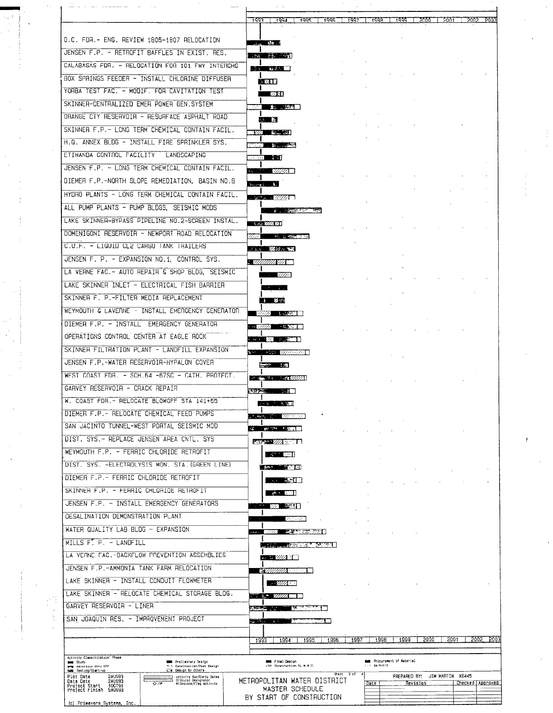|                                                                                                                                                             | :993          | 1994                                                              | i 1995                                                              |      | 1996 | $1997 - 1998$ |                                                        | 1999 |      | 5000 | 2001                          |      | 2002 P003        |
|-------------------------------------------------------------------------------------------------------------------------------------------------------------|---------------|-------------------------------------------------------------------|---------------------------------------------------------------------|------|------|---------------|--------------------------------------------------------|------|------|------|-------------------------------|------|------------------|
|                                                                                                                                                             |               |                                                                   |                                                                     |      |      |               |                                                        |      |      |      |                               |      |                  |
| O.C. FDR.- ENG. REVIEW 1805-1807 RELOCATION                                                                                                                 |               | 上山 物川                                                             |                                                                     |      |      |               |                                                        |      |      |      |                               |      |                  |
| JENSEN F.P. - RETROFIT BAFFLES IN EXIST. RES.                                                                                                               |               | 그렇게 잘 보내고 있다.                                                     |                                                                     |      |      |               |                                                        |      |      |      |                               |      |                  |
| CALABASAS FOR, - RELOCATION FOR 101 FWY INTERCHG                                                                                                            |               | $\mathbb{R}^n$ and $\mathbb{R}^n$                                 |                                                                     |      |      |               |                                                        |      |      |      |                               |      |                  |
| BOX SPRINGS FEEDER - INSTALL CHLORINE DIFFUSER                                                                                                              |               | - 200                                                             |                                                                     |      |      |               |                                                        |      |      |      |                               |      |                  |
| YORBA TEST FAC. - MODIF, FOR CAVITATION TEST                                                                                                                |               | <b>228.</b>                                                       |                                                                     |      |      |               |                                                        |      |      |      |                               |      |                  |
| SKINNER-CENTRALIZED EMER POWER GEN. SYSTEM                                                                                                                  |               | 网络第二次的第一                                                          |                                                                     |      |      |               |                                                        |      |      |      |                               |      |                  |
| ORANGE CTY RESERVOIR - RESURFACE ASPHALT ROAD                                                                                                               |               | 八郎 談                                                              |                                                                     |      |      |               |                                                        |      |      |      |                               |      |                  |
| SKINNER F.P. - LONG TERM CHEMICAL CONTAIN FACIL.                                                                                                            |               | <b>1222 144 151</b>                                               |                                                                     |      |      |               |                                                        |      |      |      |                               |      |                  |
| H.Q. ANNEX BLDG - INSTALL FIRE SPRINKLER SYS.                                                                                                               |               | <b>The Records</b>                                                |                                                                     |      |      |               |                                                        |      |      |      |                               |      |                  |
| ETIWANDA CONTROL FACILITY - LANDSCAPING                                                                                                                     |               | <b>Service Service</b>                                            |                                                                     |      |      |               |                                                        |      |      |      |                               |      |                  |
| JENSEN F.P. - LONG TERM CHEMICAL CONTAIN FACIL.                                                                                                             |               |                                                                   |                                                                     |      |      |               |                                                        |      |      |      |                               |      |                  |
| DIEMER F.P.-NORTH SLOPE REMEDIATION, BASIN NO.8                                                                                                             |               |                                                                   |                                                                     |      |      |               |                                                        |      |      |      |                               |      |                  |
| HYDRO PLANTS - LONG TERM CHEMICAL CONTAIN FACIL.                                                                                                            |               | bound &                                                           |                                                                     |      |      |               |                                                        |      |      |      |                               |      |                  |
| ALL PUMP PLANTS - PUMP BLDGS, SEISMIC MODS                                                                                                                  |               |                                                                   |                                                                     |      |      |               |                                                        |      |      |      |                               |      |                  |
| LAKE SKINNER-BYPASS PIPELINE NO.2-SCREEN INSTAL.                                                                                                            |               |                                                                   | <b>And the second contract of the Second Contract of the Second</b> |      |      |               |                                                        |      |      |      |                               |      |                  |
|                                                                                                                                                             |               | $-5.25.777.21$                                                    |                                                                     |      |      |               |                                                        |      |      |      |                               |      |                  |
| DOMENIGONI RESERVOIR - NEWPORT ROAD RELOCATION<br>C.U.F. - LIGUID CL2 CARGO TANK TRAILERS                                                                   | tivi          |                                                                   | <b>All the American Concert Concerts</b>                            |      |      |               |                                                        |      |      |      |                               |      |                  |
|                                                                                                                                                             |               | Said Wide to                                                      |                                                                     |      |      |               |                                                        |      |      |      |                               |      |                  |
| JENSEN F. P. - EXPANSION NO.1. CONTROL SYS.                                                                                                                 |               | <u>: VIIIIIIIIIXIA - </u>                                         |                                                                     |      |      |               |                                                        |      |      |      |                               |      |                  |
| LA VERNE FAC. - AUTO REPAIR & SHOP BLDG. SEISMIC                                                                                                            |               | - 91111                                                           |                                                                     |      |      |               |                                                        |      |      |      |                               |      |                  |
| LAKE SKINNER INLET - ELECTRICAL FISH BARRIER                                                                                                                |               | いめいばい                                                             |                                                                     |      |      |               |                                                        |      |      |      |                               |      |                  |
| SKINNER F. P.-FILTER MEDIA REPLACEMENT                                                                                                                      |               | <i>Li</i> 12/50                                                   |                                                                     |      |      |               |                                                        |      |      |      |                               |      |                  |
| WEYMOUTH & LAVERNE - INSTALL EMERGENCY GENERATOR                                                                                                            |               | 22322 1. 2232 1                                                   |                                                                     |      |      |               |                                                        |      |      |      |                               |      |                  |
| DIEMER F.P. - INSTALL EMERGENCY GENERATOR                                                                                                                   |               | $-2777$                                                           |                                                                     |      |      |               |                                                        |      |      |      |                               |      |                  |
| OPERATIONS CONTROL CENTER AT EAGLE ROCK                                                                                                                     |               |                                                                   |                                                                     |      |      |               |                                                        |      |      |      |                               |      |                  |
| SKINNER FILTRATION PLANT - LANDFILL EXPANSION                                                                                                               |               | $V = -123.77777777$                                               |                                                                     |      |      |               |                                                        |      |      |      |                               |      |                  |
| JENSEN F.P.-WATER RESERVOIR-HYPALON COVER                                                                                                                   |               | <b>SEARCH 1.57</b>                                                |                                                                     |      |      |               |                                                        |      |      |      |                               |      |                  |
| WEST COAST FDR. - SCH.64 -67SC - CATH. PROTECT.                                                                                                             |               | <b>THE STATE OF STREET STATES</b>                                 |                                                                     |      |      |               |                                                        |      |      |      |                               |      |                  |
| GARVEY RESERVOIR - CRACK REPAIR                                                                                                                             | <b>ASSESS</b> | . 140                                                             |                                                                     |      |      |               |                                                        |      |      |      |                               |      |                  |
| W. COAST FDR. - RELOCATE BLOWOFF STA 141+65                                                                                                                 | $\bf{I}$      | <b>REAL PROPERTY</b><br>د و د                                     |                                                                     |      |      |               |                                                        |      |      |      |                               |      |                  |
| DIEMER F.P. - RELOCATE CHEMICAL FEED PUMPS                                                                                                                  |               | <b>Present The Millers</b>                                        |                                                                     |      |      |               |                                                        |      |      |      |                               |      |                  |
| SAN JACINTO TUNNEL-WEST PORTAL SEISMIC MOD                                                                                                                  |               | 24. With 12000                                                    |                                                                     |      |      |               |                                                        |      |      |      |                               |      |                  |
| DIST, SYS - REPLACE JENSEN AREA CNTL, SYS                                                                                                                   |               | 1802 - 277, 2220 B                                                |                                                                     |      |      |               |                                                        |      |      |      |                               |      |                  |
| WEYMOUTH F.P. - FERRIC CHLORIDE RETROFIT                                                                                                                    |               | <b>Contract Contract</b>                                          |                                                                     |      |      |               |                                                        |      |      |      |                               |      |                  |
| DIST. SYS. -ELECTROLYSIS MON. STA. (GREEN LINE)                                                                                                             |               | De Des States (1999)                                              |                                                                     |      |      |               |                                                        |      |      |      |                               |      |                  |
| DIEMER F.P. - FERRIC CHLORIDE RETROFIT                                                                                                                      |               | $\mathcal{L} = \mathcal{L} \mathcal{L} = \mathcal{L} \mathcal{L}$ |                                                                     |      |      |               |                                                        |      |      |      |                               |      |                  |
| SKINNER F.P. - FERRIC CHLORIDE RETROFIT                                                                                                                     |               | $\sim$ $\sim$ 2001                                                |                                                                     |      |      |               |                                                        |      |      |      |                               |      |                  |
| JENSEN F.P. - INSTALL EMERGENCY GENERATORS                                                                                                                  |               | 82 BCTI                                                           |                                                                     |      |      |               |                                                        |      |      |      |                               |      |                  |
| DESALINATION DEMONSTRATION PLANT                                                                                                                            |               |                                                                   | 29 Y L 22                                                           |      |      |               |                                                        |      |      |      |                               |      |                  |
| WATER QUALITY LAB BLDG - EXPANSION                                                                                                                          |               |                                                                   |                                                                     |      |      |               |                                                        |      |      |      |                               |      |                  |
| MILLS $F''$ , $P$ , $-$ LANDFILL                                                                                                                            | ana a c       |                                                                   | 2020年,要理想的结合的利用                                                     |      |      |               |                                                        |      |      |      |                               |      |                  |
| LA VERNE FAC.-BACKFLOW PREVENTION ASSEMBLIES                                                                                                                |               | <b>LIFE DE MARIE DE CAPET</b>                                     |                                                                     |      |      |               |                                                        |      |      |      |                               |      |                  |
| JENSEN F.P.-AMMONIA TANK FARM RELOCATION                                                                                                                    |               | $\ldots$ : $\mathscr{U}\!\mathscr{U}\!\mathscr{U}$                |                                                                     |      |      |               |                                                        |      |      |      |                               |      |                  |
| LAKE SKINNER - INSTALL CONDUIT FLOWMETER                                                                                                                    |               | e winne www.                                                      |                                                                     |      |      |               |                                                        |      |      |      |                               |      |                  |
|                                                                                                                                                             |               |                                                                   |                                                                     |      |      |               |                                                        |      |      |      |                               |      |                  |
| LAKE SKINNER - RELOCATE CHEMICAL STORAGE BLOG.                                                                                                              |               | $\ldots \quad \textit{unm}$ .                                     |                                                                     |      |      |               |                                                        |      |      |      |                               |      |                  |
| GARVEY RESERVOIR - LINER                                                                                                                                    |               | <b>Property of the American</b>                                   | يتحنيت وسعاط                                                        |      |      |               |                                                        |      |      |      |                               |      |                  |
| SAN JOAQUIN RES. - IMPROVEMENT PROJECT                                                                                                                      |               | ಪ್ರಾಸ⊊, <sub>199</sub>                                            |                                                                     |      |      |               |                                                        |      |      |      |                               |      |                  |
|                                                                                                                                                             | 1993          | 1994                                                              |                                                                     | 1995 | 1996 | 1997          | 1998                                                   |      | 1999 | 5000 |                               | 2001 | S005 5003        |
|                                                                                                                                                             |               |                                                                   |                                                                     |      |      |               |                                                        |      |      |      |                               |      |                  |
| Activity Classification: Phase<br><b>But</b> Preliminary Design<br><b>DES Study</b><br><b>M.4 Construction/Post Design</b><br><b>Hem</b> Adventise thru HTP |               | <b>MML Final Design</b>                                           | Fill Construction By M.M.D.                                         |      |      |               | <b>MAN</b> Procurement of Material<br>$1 - 1$ An-built |      |      |      |                               |      |                  |
| EZA Design By Others<br>NAM Testing/Start-up<br>Plot Date<br><b>SYNC83</b><br>Activity Bar/Early Dates<br>Critical Designator<br>Wilestone/Flag Activity    |               |                                                                   | METROPOLITAN WATER DISTRICT                                         |      |      | Sheet 2 of    |                                                        |      |      |      | PREPARED BY: JIM MARTIN X6445 |      |                  |
| <b>SYN233</b><br>Data Date                                                                                                                                  |               |                                                                   |                                                                     |      |      |               | Date                                                   |      |      |      |                               |      | Checked Approved |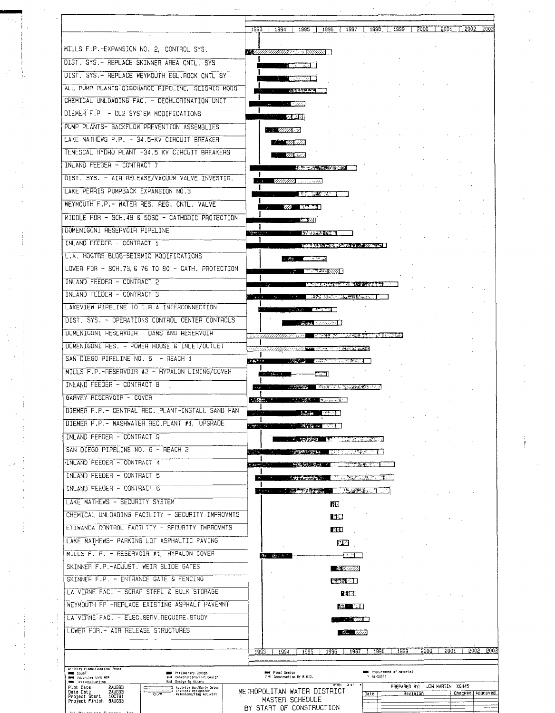|                                                                                                                           | 1995<br>1993  <br>1994                                           | 1996 1997 1998<br>$-1999 - 1$                       | -2000        | 5001 1 5005 5003 |
|---------------------------------------------------------------------------------------------------------------------------|------------------------------------------------------------------|-----------------------------------------------------|--------------|------------------|
| MILLS F.P.-EXPANSION NO. 2, CONTROL SYS.                                                                                  |                                                                  |                                                     |              |                  |
| DIST, SYS.- REPLACE SKINNER AREA CNTL. SYS                                                                                | <b>MARTHAMARE SERVICES</b>                                       |                                                     |              |                  |
| DIST. SYS. - REPLACE WEYMOUTH EGL.ROCK CNTL SY                                                                            | $\Gamma$ is and $\Gamma$                                         |                                                     |              |                  |
| ALL PUMP PLANTS-DISCHARGE PIPELINE, SEISMIC MODS                                                                          | 5767576411                                                       |                                                     |              |                  |
| CHEMICAL UNLOADING FAC. - DECHLORINATION UNIT                                                                             |                                                                  |                                                     |              |                  |
| DIEMER F.P. - CL2 SYSTEM MODIFICATIONS                                                                                    | <b>STATE STATE</b>                                               |                                                     |              |                  |
| PUMP PLANTS- BACKFLOW PREVENTION ASSEMBLIES                                                                               | $\sim$ $\sim$ $\sim$ $\sim$ $\sim$                               |                                                     |              |                  |
| LAKE MATHEWS P.P. - 34.5-KV CIRCUIT BREAKER                                                                               | <b>COMPANY</b>                                                   |                                                     |              |                  |
| TEMESCAL HYDRO PLANT -34.5 KV CIRCUIT BREAKERS                                                                            | <b>STEP WARDEN</b>                                               |                                                     |              |                  |
| INLAND FEEDER - CONTRACT 7                                                                                                | SU GO                                                            |                                                     |              |                  |
| DIST. SYS. - AIR RELEASE/VACUUM VALVE INVESTIG.                                                                           | 医单元 化学的复数形式                                                      |                                                     |              |                  |
| LAKE PERRIS PUMPBACK EXPANSION NO.3                                                                                       |                                                                  |                                                     |              |                  |
| WEYMOUTH F.P. - WATER RES. REG. CNTL. VALVE                                                                               | <b>COMMERCIAL CONTRACT</b>                                       |                                                     |              |                  |
|                                                                                                                           | <b>TASKED</b>                                                    |                                                     |              |                  |
| MIDDLE FDR - SCH. 49 & 50SC - CATHODIC PROTECTION                                                                         | - 771                                                            |                                                     |              |                  |
| DOMENIGONI RESERVOIR PIPELINE                                                                                             | <b>MODEL CONTROL</b><br><b>SERVICE</b>                           |                                                     |              |                  |
| INLAND FEEDER - CONTRACT 1                                                                                                |                                                                  | <b>NAME ALL AND COMPANY OF A PARTICULAR COMPANY</b> |              |                  |
| L.A. HOGTRS BLOG-SEISMIC MODIFICATIONS                                                                                    | <b>THE CONSTRUCTION</b>                                          |                                                     |              |                  |
| LOWER FDR - SCH.73.6 76 TO 80 - CATH. PROTECTION                                                                          | <b><i>CONSTRAIN</i></b>                                          |                                                     |              |                  |
| INLAND FEEDER - CONTRACT 2                                                                                                |                                                                  | <b>ALCOHOL: YES ALCOHOL:</b>                        |              |                  |
| INLAND FEEDER - CONTRACT 3                                                                                                |                                                                  | THE R. P. LEWIS CO., LANSING, MICH.                 |              |                  |
| LAKEVIEW PIPELINE TO C.A.A INTERCONNECTION                                                                                | <b>START MARKET IN</b>                                           |                                                     |              |                  |
| DIST, SYS. - OPERATIONS CONTROL CENTER CONTROLS                                                                           |                                                                  |                                                     |              |                  |
| DOMENIGONI RESERVOIR - DAMS AND RESERVOIR                                                                                 | a banyak di sebagai                                              |                                                     |              |                  |
| DOMENIGONI RES. - POWER HOUSE & INLET/OUTLET                                                                              | and for                                                          | <b>The Contract State</b>                           |              |                  |
| SAN DIEGO PIPELINE NO. 6 - REACH 1                                                                                        | ومطلوبي<br><b>RESIDENCE DE LA PR</b><br><b>Contract Contract</b> |                                                     |              |                  |
| MILLS F.P.-RESERVOIR #2 - HYPALON LINING/COVER                                                                            | الككا<br>الموشوف المناوي                                         |                                                     |              |                  |
| INLAND FEEDER - CONTRACT 8                                                                                                |                                                                  | <b>State of the American State</b>                  |              |                  |
| GARVEY RESERVOIR - COVER                                                                                                  | <b>MACHINERY REPORTS</b><br><b>SASARA AL</b>                     |                                                     |              |                  |
| DIEMER F.P. - CENTRAL REC. PLANT-INSTALL SAND PAN                                                                         | $\sim 10^{-10}$                                                  |                                                     |              |                  |
| DIEMER F.P. - WASHWATER REC.PLANT #1, UPGRADE                                                                             | ಬಹುದಿನ.<br>$\overline{3}$ and $\overline{4}$                     |                                                     |              |                  |
| INLAND FEEDER - CONTRACT 9                                                                                                | ። <del>ካር መውነ</del> ት                                            | $\sim 100$                                          |              |                  |
| SAN DIEGO PIPELINE NO. 6 - REACH 2                                                                                        | 电空间<br><b>المائل ديمانشدا</b> ن                                  | - 13                                                |              |                  |
| INLAND FEEDER - CONTRACT 4                                                                                                | <b>Protections</b><br>aguai menturi                              | <b>STORE AND THE REAL PROPERTY</b>                  |              |                  |
| INLAND FEEDER - CONTRACT 5                                                                                                | <b>Little Model Co.</b>                                          | राज्यसम्बद्धाः स्टब्स्<br>सन्दर्भ                   |              |                  |
| INLAND FEEDER - CONTRACT 6                                                                                                | <b>A PERSONAL PROPERTY</b>                                       | <b>CONTRACTOR</b>                                   |              |                  |
| LAKE MATHEWS - SECURITY SYSTEM                                                                                            | łИ                                                               |                                                     |              |                  |
| CHEMICAL UNLOADING FACILITY - SECURITY IMPROVMTS                                                                          | ĿЮ                                                               |                                                     |              |                  |
| ETIWANDA CONTROL FACILITY - SECURITY IMPROVMTS                                                                            | EШ                                                               |                                                     |              |                  |
| LAKE MATHEWS- PARKING LOT ASPHALTIC PAVING                                                                                |                                                                  | 842                                                 |              |                  |
| MILLS F. P. - RESERVOIR #1, HYPALON COVER                                                                                 | 全r 图: 1                                                          | ारुष ।                                              |              |                  |
| SKINNER F.P.-ADJUST. WEIR SLIDE GATES                                                                                     |                                                                  | A velli                                             |              |                  |
| SKINNER F.P. - ENTRANCE GATE & FENCING                                                                                    |                                                                  |                                                     |              |                  |
| LA VERNE FAC. - SCRAP STEEL & BULK STORAGE                                                                                |                                                                  | 医硬质之中<br>PE 41 T                                    |              |                  |
| WEYMOUTH FP -REPLACE EXISTING ASPHALT PAVEMNT                                                                             |                                                                  |                                                     |              |                  |
| LA VERNE FAC. - ELEC.SERV.REQUIRE.STUDY                                                                                   |                                                                  | 333 P.T.                                            |              |                  |
| LOWER FDR. - AIR RELEASE STRUCTURES                                                                                       |                                                                  | <b><i>SECOND CONTRACTOR</i></b>                     |              |                  |
|                                                                                                                           |                                                                  | Samuel 11911                                        |              |                  |
|                                                                                                                           | 1995<br>1996<br>1993<br>1994                                     | 1998<br>1999<br>1997                                | 2001<br>5000 | 5005             |
| Activity Classification: Phase                                                                                            |                                                                  |                                                     |              |                  |
| <b>Base</b> Preliminary Design<br><b>Executive</b> Study<br>and Construction/Post Design<br><b>New Advertise thru NTP</b> | <b>PM</b> Final Design<br>日市 Construction By M.M.D.              | <b>MMM</b> Procurement of Material<br>" As-bullt    |              |                  |

 $\frac{1}{4}$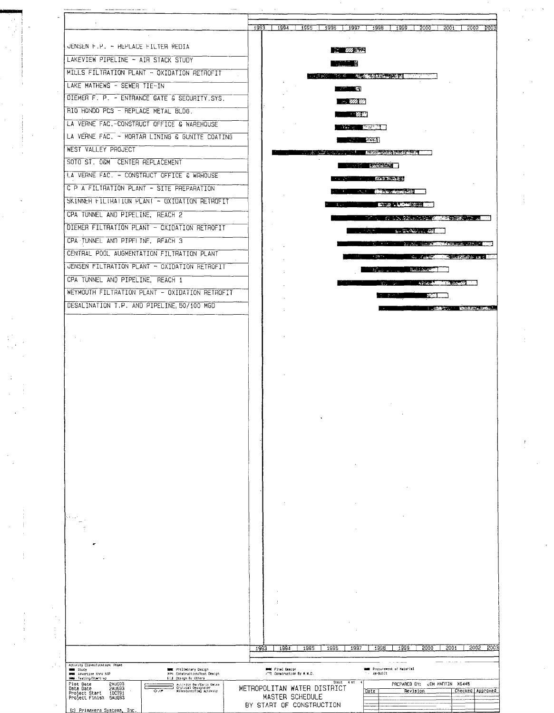|                                                                                                                                                                         | 1993   1994   1995   1996   1997   1998   1999   2000   2001   2002   2003                                                                                                                                                           |
|-------------------------------------------------------------------------------------------------------------------------------------------------------------------------|--------------------------------------------------------------------------------------------------------------------------------------------------------------------------------------------------------------------------------------|
| JENSEN F.P. - REPLACE FILTER NEDIA                                                                                                                                      |                                                                                                                                                                                                                                      |
| LAKEVIEW PIPELINE - AIR STACK STUDY                                                                                                                                     | <b>KA WASHA</b>                                                                                                                                                                                                                      |
|                                                                                                                                                                         | NASARA BER                                                                                                                                                                                                                           |
| MILLS FILTRATION PLANT - OXIDATION RETROFIT                                                                                                                             | <b>1. インタントリング - 「今の進むなおおよいのなお 国際関連通知国</b>                                                                                                                                                                                           |
| LAKE MATHEWS - SEWER TIE-IN                                                                                                                                             | <b>The Contract of Second</b>                                                                                                                                                                                                        |
| DIEMER F. P. - ENTRANCE GATE & SECURITY SYS.                                                                                                                            | $\cdots$ and $\overline{\mathscr{C}}$                                                                                                                                                                                                |
| RIO HONDO PCS - REPLACE METAL BLDG.                                                                                                                                     | $\sim$ $\sim$ $\sim$ $\sim$                                                                                                                                                                                                          |
| LA VERNE FAC. - CONSTRUCT OFFICE & WAREHOUSE                                                                                                                            | <b>The Committee of the Committee</b>                                                                                                                                                                                                |
| LA VERNE FAC. - MORTAR LINING & GUNITE COATING                                                                                                                          | <b>START START START</b>                                                                                                                                                                                                             |
| WEST VALLEY PROJECT                                                                                                                                                     | <b>TERNATURE CONTROL COMMUNICATION</b>                                                                                                                                                                                               |
| SOTO ST. OGM CENTER REPLACEMENT                                                                                                                                         | <b>BULLET AND ARRANGEMENT</b>                                                                                                                                                                                                        |
| LA VERNE FAC. - CONSTRUCT OFFICE & WRHOUSE                                                                                                                              | <b>TELEVISION AND STATES</b>                                                                                                                                                                                                         |
| C P A FILTRATION PLANT - SITE PREPARATION                                                                                                                               | the control of the control of the control of the control of the control of the control of                                                                                                                                            |
| SKINNER FILIRATION PLANT - OXIDATION RETROFIT                                                                                                                           | <b>The Contract of Contract Advertising Contract Only 10 and 20 years of the Contract Only 10 and 20 years of the</b>                                                                                                                |
| CPA TUNNEL AND PIPELINE, REACH 2                                                                                                                                        | THE REAL PROPERTY INTO THE REPORT OF THE RESIDENCE OF A REPORT OF THE RESIDENCE OF THE RESIDENCE OF THE RESIDENCE OF THE RESIDENCE OF THE RESIDENCE OF THE RESIDENCE OF THE RESIDENCE OF THE RESIDENCE OF THE RESIDENCE OF THE       |
| DIEMER FILTRATION PLANT - OXIDATION RETROFIT                                                                                                                            | and the contract of the contract of the contract of the contract of the contract of the contract of the contract of the contract of the contract of the contract of the contract of the contract of the contract of the contra       |
| CPA TUNNEL AND PIPELINE, REACH 3                                                                                                                                        | The state of the control of the second state of the state of the second state of the second state of the second state of the second state of the second state of the second state of the second state of the second state of t       |
| CENTRAL POOL AUGMENTATION FILTRATION PLANT                                                                                                                              | <b>THE REAL PROPERTY AND RELEASED FOR A REAL PROPERTY.</b>                                                                                                                                                                           |
| JENSEN FILTRATION PLANT - GXIDATION RETROFIT                                                                                                                            | <b>The Committee of the Committee of the Committee of the Committee of the Committee of the Committee of the Committee of the Committee of the Committee of the Committee of the Committee of the Committee of the Committee of </b> |
| CPA TUNNEL AND PIPELINE, REACH 1                                                                                                                                        | <b>Andrew March 2012 - Adams St.</b>                                                                                                                                                                                                 |
| WEYMOUTH FILTRATION PLANT - OXIDATION RETROFIT                                                                                                                          |                                                                                                                                                                                                                                      |
| DESALINATION T.P. AND PIPELINE, 50/100 MGD                                                                                                                              | $\mathbf{r}$ and $\mathbf{r}$ and $\mathbf{r}$ and $\mathbf{r}$                                                                                                                                                                      |
|                                                                                                                                                                         |                                                                                                                                                                                                                                      |
|                                                                                                                                                                         |                                                                                                                                                                                                                                      |
| فحداقه                                                                                                                                                                  |                                                                                                                                                                                                                                      |
|                                                                                                                                                                         |                                                                                                                                                                                                                                      |
|                                                                                                                                                                         |                                                                                                                                                                                                                                      |
|                                                                                                                                                                         |                                                                                                                                                                                                                                      |
|                                                                                                                                                                         |                                                                                                                                                                                                                                      |
|                                                                                                                                                                         |                                                                                                                                                                                                                                      |
|                                                                                                                                                                         |                                                                                                                                                                                                                                      |
|                                                                                                                                                                         |                                                                                                                                                                                                                                      |
|                                                                                                                                                                         |                                                                                                                                                                                                                                      |
|                                                                                                                                                                         |                                                                                                                                                                                                                                      |
|                                                                                                                                                                         |                                                                                                                                                                                                                                      |
|                                                                                                                                                                         | 5005<br>2001<br><b>2003</b><br>1995<br>1996<br>1997<br>1998<br>1999<br>5000<br>1993<br>1994                                                                                                                                          |
| Activity Classification: Phase                                                                                                                                          |                                                                                                                                                                                                                                      |
| <b>Excess</b> Study<br><b>MMM</b> Preliminary Design<br>Birt Construction/Post Design<br><b>Best</b> Advertise thru NTP<br>HMM Testing/Start-up<br>COM Dasign By Others | <b>SMM</b> Procurement of Naterial<br><b>MMX Final Design</b><br>FED Construction By M.M.D.<br>As-DUIIt                                                                                                                              |
| <b>SYNC83</b><br>Plot Date<br>Activity Bar/Early Dates<br>Critical Designator<br>Milestone/Flag Activity<br><b>SYNR33</b><br>ב<br>Data Date<br>$\circ$                  | $Shet$ 4 of<br>PREPARED BY: JIM MARTIN X6445<br>METROPOLITAN WATER DISTRICT<br>Checked Approved<br>Date<br>Revision                                                                                                                  |
| 100191<br>Project Start<br>Project Finish 5AUG93                                                                                                                        | MASTER SCHEDULE                                                                                                                                                                                                                      |

 $\frac{1}{2}$ 

 $\frac{1}{3}$ 

 $\begin{array}{c} 4 \\ 1 \\ 1 \end{array}$ 

 $\frac{1}{4}$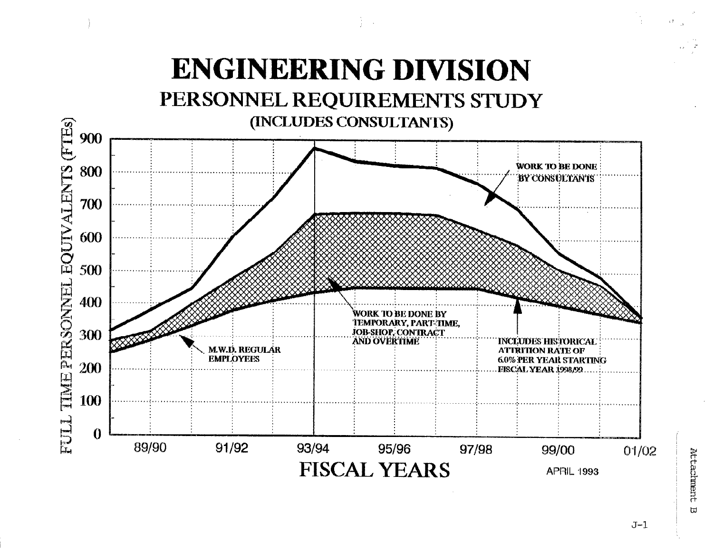# **ENGINEERING DIVISION**